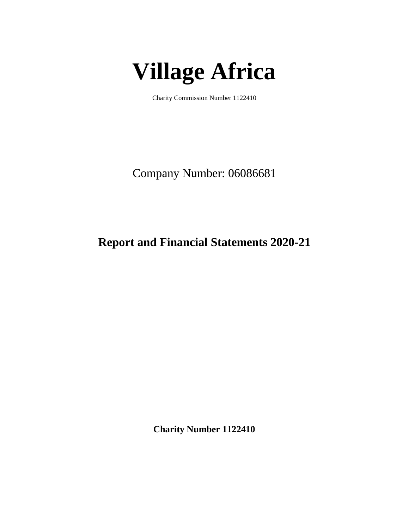# **Village Africa**

Charity Commission Number 1122410

Company Number: 06086681

# **Report and Financial Statements 2020-21**

**Charity Number 1122410**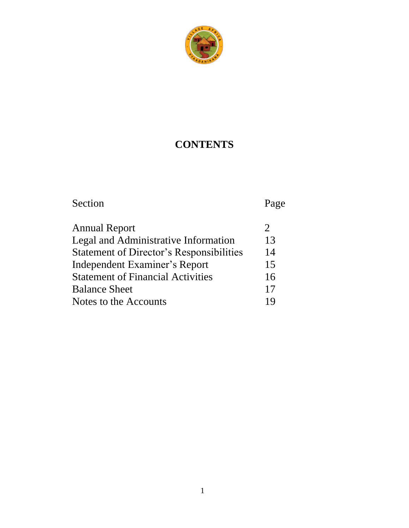

# **CONTENTS**

# Section Page

| <b>Annual Report</b>                            |    |
|-------------------------------------------------|----|
| Legal and Administrative Information            | 13 |
| <b>Statement of Director's Responsibilities</b> | 14 |
| Independent Examiner's Report                   | 15 |
| <b>Statement of Financial Activities</b>        | 16 |
| <b>Balance Sheet</b>                            | 17 |
| Notes to the Accounts                           | 19 |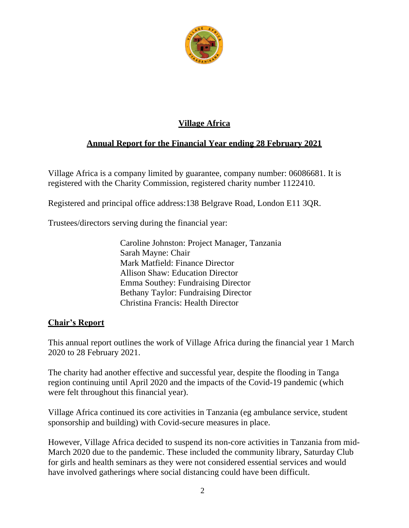

#### **Village Africa**

#### **Annual Report for the Financial Year ending 28 February 2021**

Village Africa is a company limited by guarantee, company number: 06086681. It is registered with the Charity Commission, registered charity number 1122410.

Registered and principal office address:138 Belgrave Road, London E11 3QR.

Trustees/directors serving during the financial year:

Caroline Johnston: Project Manager, Tanzania Sarah Mayne: Chair Mark Matfield: Finance Director Allison Shaw: Education Director Emma Southey: Fundraising Director Bethany Taylor: Fundraising Director Christina Francis: Health Director

#### **Chair's Report**

This annual report outlines the work of Village Africa during the financial year 1 March 2020 to 28 February 2021.

The charity had another effective and successful year, despite the flooding in Tanga region continuing until April 2020 and the impacts of the Covid-19 pandemic (which were felt throughout this financial year).

Village Africa continued its core activities in Tanzania (eg ambulance service, student sponsorship and building) with Covid-secure measures in place.

However, Village Africa decided to suspend its non-core activities in Tanzania from mid-March 2020 due to the pandemic. These included the community library, Saturday Club for girls and health seminars as they were not considered essential services and would have involved gatherings where social distancing could have been difficult.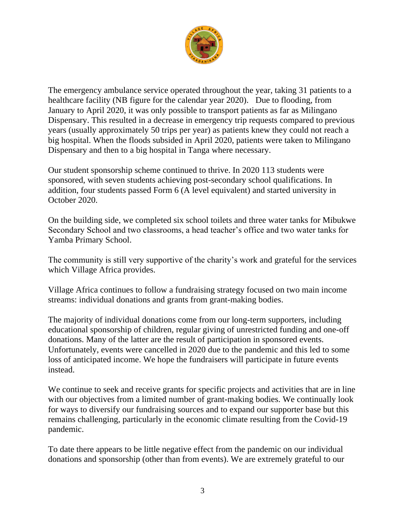

The emergency ambulance service operated throughout the year, taking 31 patients to a healthcare facility (NB figure for the calendar year 2020). Due to flooding, from January to April 2020, it was only possible to transport patients as far as Milingano Dispensary. This resulted in a decrease in emergency trip requests compared to previous years (usually approximately 50 trips per year) as patients knew they could not reach a big hospital. When the floods subsided in April 2020, patients were taken to Milingano Dispensary and then to a big hospital in Tanga where necessary.

Our student sponsorship scheme continued to thrive. In 2020 113 students were sponsored, with seven students achieving post-secondary school qualifications. In addition, four students passed Form 6 (A level equivalent) and started university in October 2020.

On the building side, we completed six school toilets and three water tanks for Mibukwe Secondary School and two classrooms, a head teacher's office and two water tanks for Yamba Primary School.

The community is still very supportive of the charity's work and grateful for the services which Village Africa provides.

Village Africa continues to follow a fundraising strategy focused on two main income streams: individual donations and grants from grant-making bodies.

The majority of individual donations come from our long-term supporters, including educational sponsorship of children, regular giving of unrestricted funding and one-off donations. Many of the latter are the result of participation in sponsored events. Unfortunately, events were cancelled in 2020 due to the pandemic and this led to some loss of anticipated income. We hope the fundraisers will participate in future events instead.

We continue to seek and receive grants for specific projects and activities that are in line with our objectives from a limited number of grant-making bodies. We continually look for ways to diversify our fundraising sources and to expand our supporter base but this remains challenging, particularly in the economic climate resulting from the Covid-19 pandemic.

To date there appears to be little negative effect from the pandemic on our individual donations and sponsorship (other than from events). We are extremely grateful to our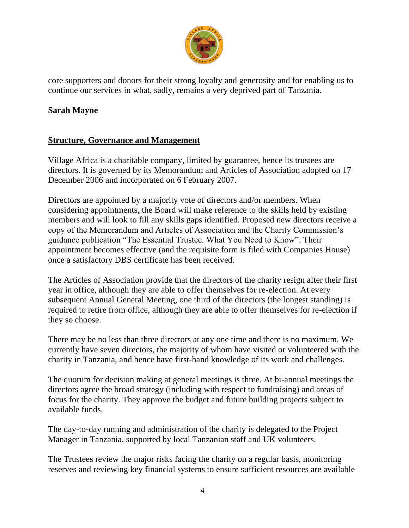

core supporters and donors for their strong loyalty and generosity and for enabling us to continue our services in what, sadly, remains a very deprived part of Tanzania.

#### **Sarah Mayne**

#### **Structure, Governance and Management**

Village Africa is a charitable company, limited by guarantee, hence its trustees are directors. It is governed by its Memorandum and Articles of Association adopted on 17 December 2006 and incorporated on 6 February 2007.

Directors are appointed by a majority vote of directors and/or members. When considering appointments, the Board will make reference to the skills held by existing members and will look to fill any skills gaps identified. Proposed new directors receive a copy of the Memorandum and Articles of Association and the Charity Commission's guidance publication "The Essential Trustee. What You Need to Know". Their appointment becomes effective (and the requisite form is filed with Companies House) once a satisfactory DBS certificate has been received.

The Articles of Association provide that the directors of the charity resign after their first year in office, although they are able to offer themselves for re-election. At every subsequent Annual General Meeting, one third of the directors (the longest standing) is required to retire from office, although they are able to offer themselves for re-election if they so choose.

There may be no less than three directors at any one time and there is no maximum. We currently have seven directors, the majority of whom have visited or volunteered with the charity in Tanzania, and hence have first-hand knowledge of its work and challenges.

The quorum for decision making at general meetings is three. At bi-annual meetings the directors agree the broad strategy (including with respect to fundraising) and areas of focus for the charity. They approve the budget and future building projects subject to available funds.

The day-to-day running and administration of the charity is delegated to the Project Manager in Tanzania, supported by local Tanzanian staff and UK volunteers.

The Trustees review the major risks facing the charity on a regular basis, monitoring reserves and reviewing key financial systems to ensure sufficient resources are available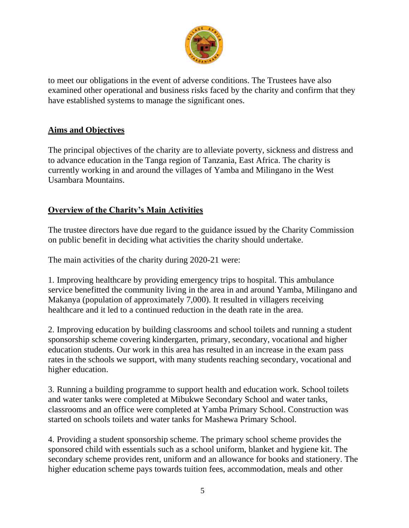

to meet our obligations in the event of adverse conditions. The Trustees have also examined other operational and business risks faced by the charity and confirm that they have established systems to manage the significant ones.

#### **Aims and Objectives**

The principal objectives of the charity are to alleviate poverty, sickness and distress and to advance education in the Tanga region of Tanzania, East Africa. The charity is currently working in and around the villages of Yamba and Milingano in the West Usambara Mountains.

#### **Overview of the Charity's Main Activities**

The trustee directors have due regard to the guidance issued by the Charity Commission on public benefit in deciding what activities the charity should undertake.

The main activities of the charity during 2020-21 were:

1. Improving healthcare by providing emergency trips to hospital. This ambulance service benefitted the community living in the area in and around Yamba, Milingano and Makanya (population of approximately 7,000). It resulted in villagers receiving healthcare and it led to a continued reduction in the death rate in the area.

2. Improving education by building classrooms and school toilets and running a student sponsorship scheme covering kindergarten, primary, secondary, vocational and higher education students. Our work in this area has resulted in an increase in the exam pass rates in the schools we support, with many students reaching secondary, vocational and higher education.

3. Running a building programme to support health and education work. School toilets and water tanks were completed at Mibukwe Secondary School and water tanks, classrooms and an office were completed at Yamba Primary School. Construction was started on schools toilets and water tanks for Mashewa Primary School.

4. Providing a student sponsorship scheme. The primary school scheme provides the sponsored child with essentials such as a school uniform, blanket and hygiene kit. The secondary scheme provides rent, uniform and an allowance for books and stationery. The higher education scheme pays towards tuition fees, accommodation, meals and other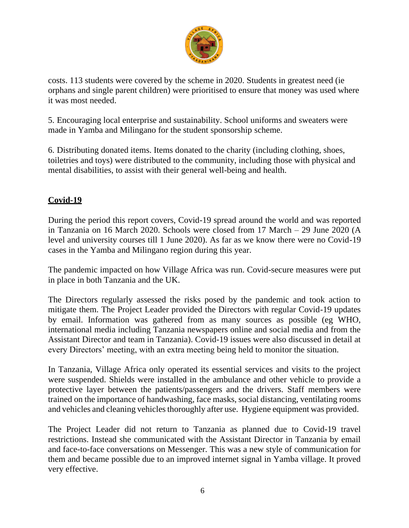

costs. 113 students were covered by the scheme in 2020. Students in greatest need (ie orphans and single parent children) were prioritised to ensure that money was used where it was most needed.

5. Encouraging local enterprise and sustainability. School uniforms and sweaters were made in Yamba and Milingano for the student sponsorship scheme.

6. Distributing donated items. Items donated to the charity (including clothing, shoes, toiletries and toys) were distributed to the community, including those with physical and mental disabilities, to assist with their general well-being and health.

#### **Covid-19**

During the period this report covers, Covid-19 spread around the world and was reported in Tanzania on 16 March 2020. Schools were closed from 17 March – 29 June 2020 (A level and university courses till 1 June 2020). As far as we know there were no Covid-19 cases in the Yamba and Milingano region during this year.

The pandemic impacted on how Village Africa was run. Covid-secure measures were put in place in both Tanzania and the UK.

The Directors regularly assessed the risks posed by the pandemic and took action to mitigate them. The Project Leader provided the Directors with regular Covid-19 updates by email. Information was gathered from as many sources as possible (eg WHO, international media including Tanzania newspapers online and social media and from the Assistant Director and team in Tanzania). Covid-19 issues were also discussed in detail at every Directors' meeting, with an extra meeting being held to monitor the situation.

In Tanzania, Village Africa only operated its essential services and visits to the project were suspended. Shields were installed in the ambulance and other vehicle to provide a protective layer between the patients/passengers and the drivers. Staff members were trained on the importance of handwashing, face masks, social distancing, ventilating rooms and vehicles and cleaning vehicles thoroughly after use. Hygiene equipment was provided.

The Project Leader did not return to Tanzania as planned due to Covid-19 travel restrictions. Instead she communicated with the Assistant Director in Tanzania by email and face-to-face conversations on Messenger. This was a new style of communication for them and became possible due to an improved internet signal in Yamba village. It proved very effective.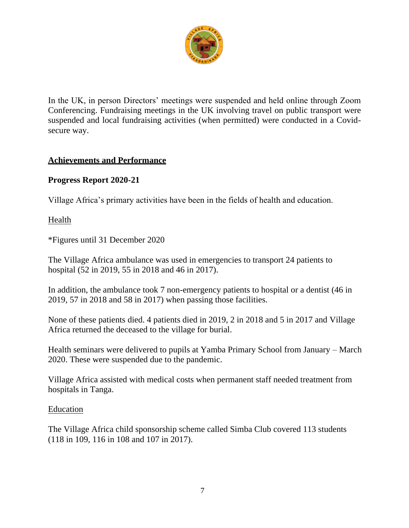

In the UK, in person Directors' meetings were suspended and held online through Zoom Conferencing. Fundraising meetings in the UK involving travel on public transport were suspended and local fundraising activities (when permitted) were conducted in a Covidsecure way.

#### **Achievements and Performance**

#### **Progress Report 2020-21**

Village Africa's primary activities have been in the fields of health and education.

#### Health

\*Figures until 31 December 2020

The Village Africa ambulance was used in emergencies to transport 24 patients to hospital (52 in 2019, 55 in 2018 and 46 in 2017).

In addition, the ambulance took 7 non-emergency patients to hospital or a dentist (46 in 2019, 57 in 2018 and 58 in 2017) when passing those facilities.

None of these patients died. 4 patients died in 2019, 2 in 2018 and 5 in 2017 and Village Africa returned the deceased to the village for burial.

Health seminars were delivered to pupils at Yamba Primary School from January – March 2020. These were suspended due to the pandemic.

Village Africa assisted with medical costs when permanent staff needed treatment from hospitals in Tanga.

#### Education

The Village Africa child sponsorship scheme called Simba Club covered 113 students (118 in 109, 116 in 108 and 107 in 2017).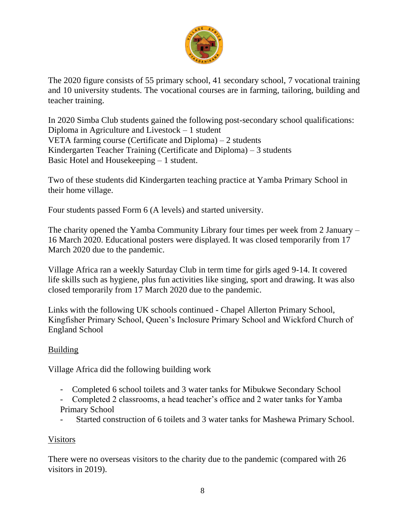

The 2020 figure consists of 55 primary school, 41 secondary school, 7 vocational training and 10 university students. The vocational courses are in farming, tailoring, building and teacher training.

In 2020 Simba Club students gained the following post-secondary school qualifications: Diploma in Agriculture and Livestock – 1 student VETA farming course (Certificate and Diploma) – 2 students Kindergarten Teacher Training (Certificate and Diploma) – 3 students Basic Hotel and Housekeeping – 1 student.

Two of these students did Kindergarten teaching practice at Yamba Primary School in their home village.

Four students passed Form 6 (A levels) and started university.

The charity opened the Yamba Community Library four times per week from 2 January – 16 March 2020. Educational posters were displayed. It was closed temporarily from 17 March 2020 due to the pandemic.

Village Africa ran a weekly Saturday Club in term time for girls aged 9-14. It covered life skills such as hygiene, plus fun activities like singing, sport and drawing. It was also closed temporarily from 17 March 2020 due to the pandemic.

Links with the following UK schools continued - Chapel Allerton Primary School, Kingfisher Primary School, Queen's Inclosure Primary School and Wickford Church of England School

#### Building

Village Africa did the following building work

- Completed 6 school toilets and 3 water tanks for Mibukwe Secondary School
- Completed 2 classrooms, a head teacher's office and 2 water tanks for Yamba Primary School
- Started construction of 6 toilets and 3 water tanks for Mashewa Primary School.

#### Visitors

There were no overseas visitors to the charity due to the pandemic (compared with 26 visitors in 2019).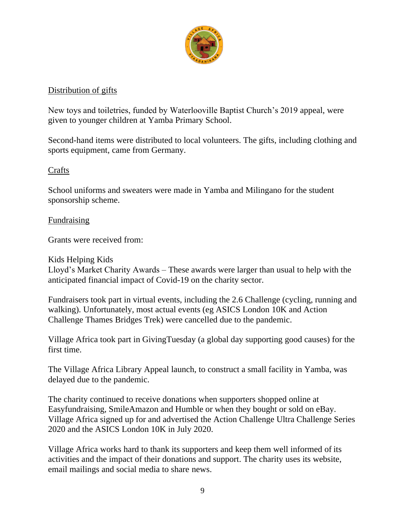

#### Distribution of gifts

New toys and toiletries, funded by Waterlooville Baptist Church's 2019 appeal, were given to younger children at Yamba Primary School.

Second-hand items were distributed to local volunteers. The gifts, including clothing and sports equipment, came from Germany.

#### **Crafts**

School uniforms and sweaters were made in Yamba and Milingano for the student sponsorship scheme.

#### **Fundraising**

Grants were received from:

Kids Helping Kids Lloyd's Market Charity Awards – These awards were larger than usual to help with the anticipated financial impact of Covid-19 on the charity sector.

Fundraisers took part in virtual events, including the 2.6 Challenge (cycling, running and walking). Unfortunately, most actual events (eg ASICS London 10K and Action Challenge Thames Bridges Trek) were cancelled due to the pandemic.

Village Africa took part in GivingTuesday (a global day supporting good causes) for the first time.

The Village Africa Library Appeal launch, to construct a small facility in Yamba, was delayed due to the pandemic.

The charity continued to receive donations when supporters shopped online at Easyfundraising, SmileAmazon and Humble or when they bought or sold on eBay. Village Africa signed up for and advertised the Action Challenge Ultra Challenge Series 2020 and the ASICS London 10K in July 2020.

Village Africa works hard to thank its supporters and keep them well informed of its activities and the impact of their donations and support. The charity uses its website, email mailings and social media to share news.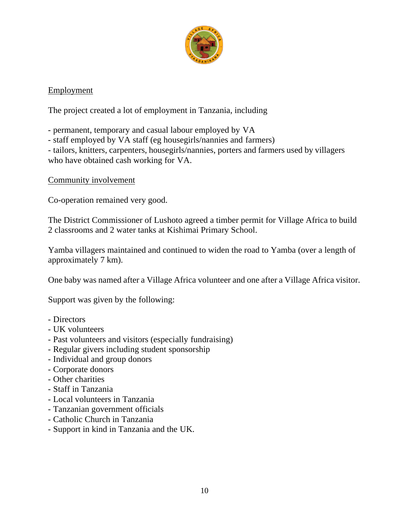

#### Employment

The project created a lot of employment in Tanzania, including

- permanent, temporary and casual labour employed by VA

- staff employed by VA staff (eg housegirls/nannies and farmers)

- tailors, knitters, carpenters, housegirls/nannies, porters and farmers used by villagers who have obtained cash working for VA.

Community involvement

Co-operation remained very good.

The District Commissioner of Lushoto agreed a timber permit for Village Africa to build 2 classrooms and 2 water tanks at Kishimai Primary School.

Yamba villagers maintained and continued to widen the road to Yamba (over a length of approximately 7 km).

One baby was named after a Village Africa volunteer and one after a Village Africa visitor.

Support was given by the following:

- Directors
- UK volunteers
- Past volunteers and visitors (especially fundraising)
- Regular givers including student sponsorship
- Individual and group donors
- Corporate donors
- Other charities
- Staff in Tanzania
- Local volunteers in Tanzania
- Tanzanian government officials
- Catholic Church in Tanzania
- Support in kind in Tanzania and the UK.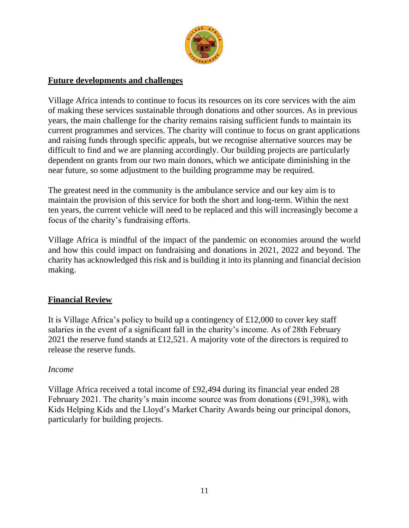

#### **Future developments and challenges**

Village Africa intends to continue to focus its resources on its core services with the aim of making these services sustainable through donations and other sources. As in previous years, the main challenge for the charity remains raising sufficient funds to maintain its current programmes and services. The charity will continue to focus on grant applications and raising funds through specific appeals, but we recognise alternative sources may be difficult to find and we are planning accordingly. Our building projects are particularly dependent on grants from our two main donors, which we anticipate diminishing in the near future, so some adjustment to the building programme may be required.

The greatest need in the community is the ambulance service and our key aim is to maintain the provision of this service for both the short and long-term. Within the next ten years, the current vehicle will need to be replaced and this will increasingly become a focus of the charity's fundraising efforts.

Village Africa is mindful of the impact of the pandemic on economies around the world and how this could impact on fundraising and donations in 2021, 2022 and beyond. The charity has acknowledged this risk and is building it into its planning and financial decision making.

#### **Financial Review**

It is Village Africa's policy to build up a contingency of £12,000 to cover key staff salaries in the event of a significant fall in the charity's income. As of 28th February 2021 the reserve fund stands at £12,521. A majority vote of the directors is required to release the reserve funds.

#### *Income*

Village Africa received a total income of £92,494 during its financial year ended 28 February 2021. The charity's main income source was from donations (£91,398), with Kids Helping Kids and the Lloyd's Market Charity Awards being our principal donors, particularly for building projects.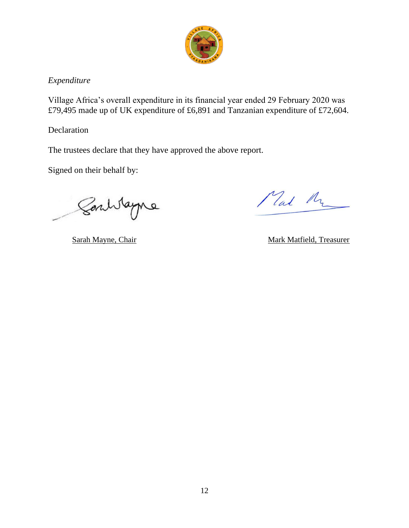

#### *Expenditure*

Village Africa's overall expenditure in its financial year ended 29 February 2020 was £79,495 made up of UK expenditure of £6,891 and Tanzanian expenditure of £72,604.

Declaration

The trustees declare that they have approved the above report.

Signed on their behalf by:

Soulvagne

Mal Mr

Sarah Mayne, Chair Mark Matfield, Treasurer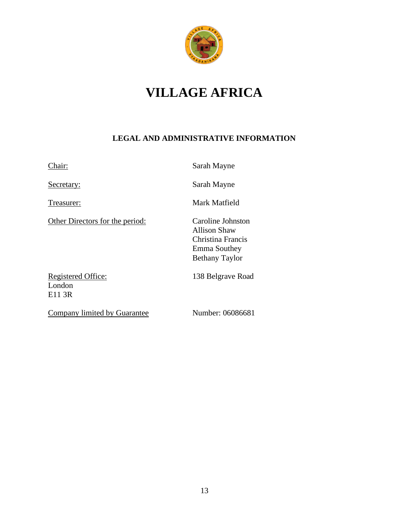

# **VILLAGE AFRICA**

#### **LEGAL AND ADMINISTRATIVE INFORMATION**

Other Directors for the period: Caroline Johnston

Chair: Sarah Mayne

Secretary: Sarah Mayne

Treasurer: Mark Matfield

Allison Shaw Christina Francis Emma Southey Bethany Taylor

Registered Office: 138 Belgrave Road London E11 3R

Company limited by Guarantee Number: 06086681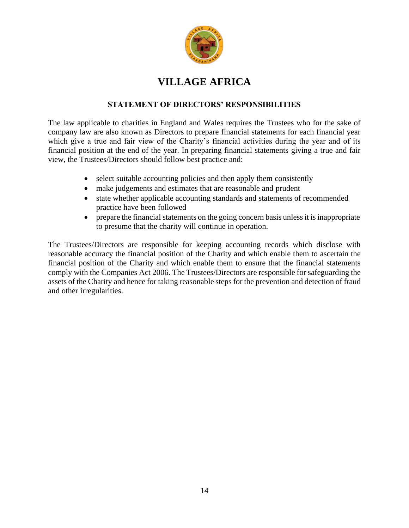

### **VILLAGE AFRICA**

#### **STATEMENT OF DIRECTORS' RESPONSIBILITIES**

The law applicable to charities in England and Wales requires the Trustees who for the sake of company law are also known as Directors to prepare financial statements for each financial year which give a true and fair view of the Charity's financial activities during the year and of its financial position at the end of the year. In preparing financial statements giving a true and fair view, the Trustees/Directors should follow best practice and:

- select suitable accounting policies and then apply them consistently
- make judgements and estimates that are reasonable and prudent
- state whether applicable accounting standards and statements of recommended practice have been followed
- prepare the financial statements on the going concern basis unless it is inappropriate to presume that the charity will continue in operation.

The Trustees/Directors are responsible for keeping accounting records which disclose with reasonable accuracy the financial position of the Charity and which enable them to ascertain the financial position of the Charity and which enable them to ensure that the financial statements comply with the Companies Act 2006. The Trustees/Directors are responsible for safeguarding the assets of the Charity and hence for taking reasonable steps for the prevention and detection of fraud and other irregularities.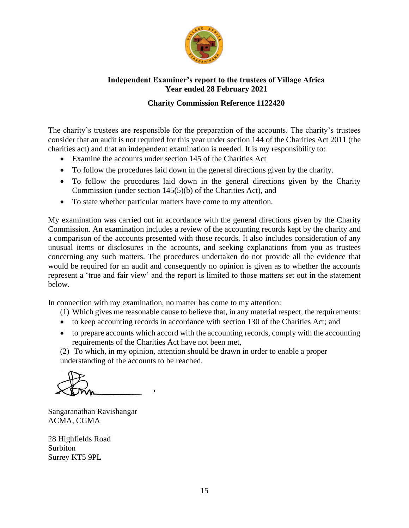

#### **Independent Examiner's report to the trustees of Village Africa Year ended 28 February 2021**

#### **Charity Commission Reference 1122420**

The charity's trustees are responsible for the preparation of the accounts. The charity's trustees consider that an audit is not required for this year under section 144 of the Charities Act 2011 (the charities act) and that an independent examination is needed. It is my responsibility to:

- Examine the accounts under section 145 of the Charities Act
- To follow the procedures laid down in the general directions given by the charity.
- To follow the procedures laid down in the general directions given by the Charity Commission (under section 145(5)(b) of the Charities Act), and
- To state whether particular matters have come to my attention.

My examination was carried out in accordance with the general directions given by the Charity Commission. An examination includes a review of the accounting records kept by the charity and a comparison of the accounts presented with those records. It also includes consideration of any unusual items or disclosures in the accounts, and seeking explanations from you as trustees concerning any such matters. The procedures undertaken do not provide all the evidence that would be required for an audit and consequently no opinion is given as to whether the accounts represent a 'true and fair view' and the report is limited to those matters set out in the statement below.

In connection with my examination, no matter has come to my attention:

- (1) Which gives me reasonable cause to believe that, in any material respect, the requirements:
- to keep accounting records in accordance with section 130 of the Charities Act; and
- to prepare accounts which accord with the accounting records, comply with the accounting requirements of the Charities Act have not been met,

(2) To which, in my opinion, attention should be drawn in order to enable a proper understanding of the accounts to be reached.

Sangaranathan Ravishangar ACMA, CGMA

28 Highfields Road Surbiton Surrey KT5 9PL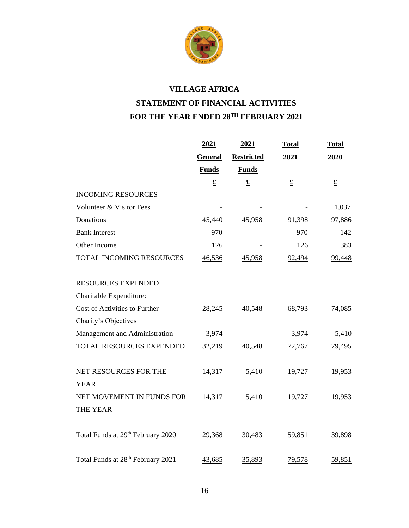

# **VILLAGE AFRICA STATEMENT OF FINANCIAL ACTIVITIES FOR THE YEAR ENDED 28TH FEBRUARY 2021**

|                                               | 2021           | 2021                     | <b>Total</b> | <b>Total</b>  |
|-----------------------------------------------|----------------|--------------------------|--------------|---------------|
|                                               | <b>General</b> | <b>Restricted</b>        | 2021         | 2020          |
|                                               | <b>Funds</b>   | <b>Funds</b>             |              |               |
|                                               | $\mathbf f$    | $\overline{\mathbf{r}}$  | $\mathbf f$  | $\mathbf f$   |
| <b>INCOMING RESOURCES</b>                     |                |                          |              |               |
| Volunteer & Visitor Fees                      |                |                          |              | 1,037         |
| Donations                                     | 45,440         | 45,958                   | 91,398       | 97,886        |
| <b>Bank Interest</b>                          | 970            |                          | 970          | 142           |
| Other Income                                  | 126            |                          | $-126$       | 383           |
| <b>TOTAL INCOMING RESOURCES</b>               | 46,536         | 45,958                   | 92,494       | 99,448        |
| <b>RESOURCES EXPENDED</b>                     |                |                          |              |               |
| Charitable Expenditure:                       |                |                          |              |               |
| Cost of Activities to Further                 | 28,245         | 40,548                   | 68,793       | 74,085        |
| Charity's Objectives                          |                |                          |              |               |
| Management and Administration                 | 3,974          | $\sim 1000$ km s $^{-1}$ | 3,974        | 5,410         |
| TOTAL RESOURCES EXPENDED                      | 32,219         | 40,548                   | 72,767       | <u>79,495</u> |
| NET RESOURCES FOR THE<br><b>YEAR</b>          | 14,317         | 5,410                    | 19,727       | 19,953        |
| NET MOVEMENT IN FUNDS FOR                     | 14,317         | 5,410                    | 19,727       | 19,953        |
| <b>THE YEAR</b>                               |                |                          |              |               |
| Total Funds at 29th February 2020             | 29,368         | 30,483                   | 59,851       | 39,898        |
| Total Funds at 28 <sup>th</sup> February 2021 | 43,685         | 35,893                   | 79,578       | 59,851        |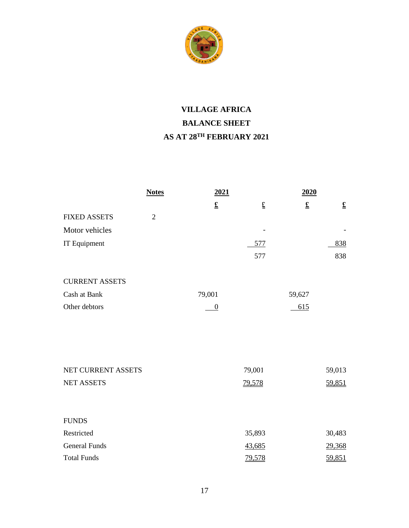

# **VILLAGE AFRICA BALANCE SHEET AS AT 28TH FEBRUARY 2021**

|                       | <b>Notes</b>   | 2021                  |        | 2020        |                          |
|-----------------------|----------------|-----------------------|--------|-------------|--------------------------|
|                       |                | $\underline{\pounds}$ | £      | $\mathbf f$ | $\underline{\mathbf{f}}$ |
| <b>FIXED ASSETS</b>   | $\overline{2}$ |                       |        |             |                          |
| Motor vehicles        |                |                       |        |             |                          |
| IT Equipment          |                |                       | 577    |             | 838                      |
|                       |                |                       | 577    |             | 838                      |
| <b>CURRENT ASSETS</b> |                |                       |        |             |                          |
| Cash at Bank          |                | 79,001                |        | 59,627      |                          |
| Other debtors         |                | $\overline{0}$        |        | 615         |                          |
| NET CURRENT ASSETS    |                |                       | 79,001 |             | 59,013                   |
| <b>NET ASSETS</b>     |                |                       | 79,578 |             | 59,851                   |
| <b>FUNDS</b>          |                |                       |        |             |                          |
| Restricted            |                |                       | 35,893 |             | 30,483                   |
| <b>General Funds</b>  |                |                       | 43,685 |             | 29,368                   |
| <b>Total Funds</b>    |                |                       | 79,578 |             | 59,851                   |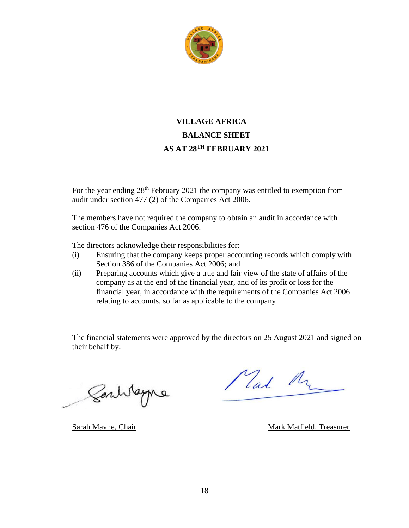

### **VILLAGE AFRICA BALANCE SHEET AS AT 28TH FEBRUARY 2021**

For the year ending 28<sup>th</sup> February 2021 the company was entitled to exemption from audit under section 477 (2) of the Companies Act 2006.

The members have not required the company to obtain an audit in accordance with section 476 of the Companies Act 2006.

The directors acknowledge their responsibilities for:

- (i) Ensuring that the company keeps proper accounting records which comply with Section 386 of the Companies Act 2006; and
- (ii) Preparing accounts which give a true and fair view of the state of affairs of the company as at the end of the financial year, and of its profit or loss for the financial year, in accordance with the requirements of the Companies Act 2006 relating to accounts, so far as applicable to the company

The financial statements were approved by the directors on 25 August 2021 and signed on their behalf by:

Santitagne

Mal My

Sarah Mayne, Chair Mark Matfield, Treasurer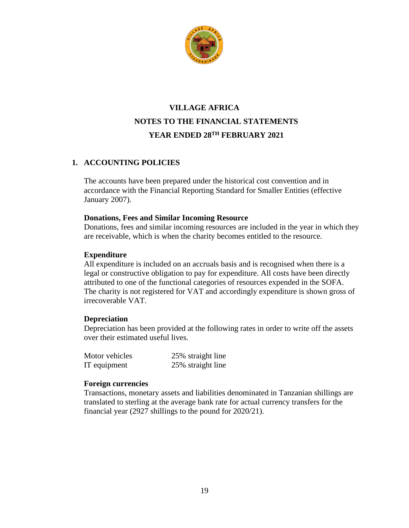

### **VILLAGE AFRICA NOTES TO THE FINANCIAL STATEMENTS YEAR ENDED 28TH FEBRUARY 2021**

#### **1. ACCOUNTING POLICIES**

The accounts have been prepared under the historical cost convention and in accordance with the Financial Reporting Standard for Smaller Entities (effective January 2007).

#### **Donations, Fees and Similar Incoming Resource**

Donations, fees and similar incoming resources are included in the year in which they are receivable, which is when the charity becomes entitled to the resource.

#### **Expenditure**

All expenditure is included on an accruals basis and is recognised when there is a legal or constructive obligation to pay for expenditure. All costs have been directly attributed to one of the functional categories of resources expended in the SOFA. The charity is not registered for VAT and accordingly expenditure is shown gross of irrecoverable VAT.

#### **Depreciation**

Depreciation has been provided at the following rates in order to write off the assets over their estimated useful lives.

| Motor vehicles | 25% straight line |
|----------------|-------------------|
| IT equipment   | 25% straight line |

#### **Foreign currencies**

Transactions, monetary assets and liabilities denominated in Tanzanian shillings are translated to sterling at the average bank rate for actual currency transfers for the financial year (2927 shillings to the pound for 2020/21).